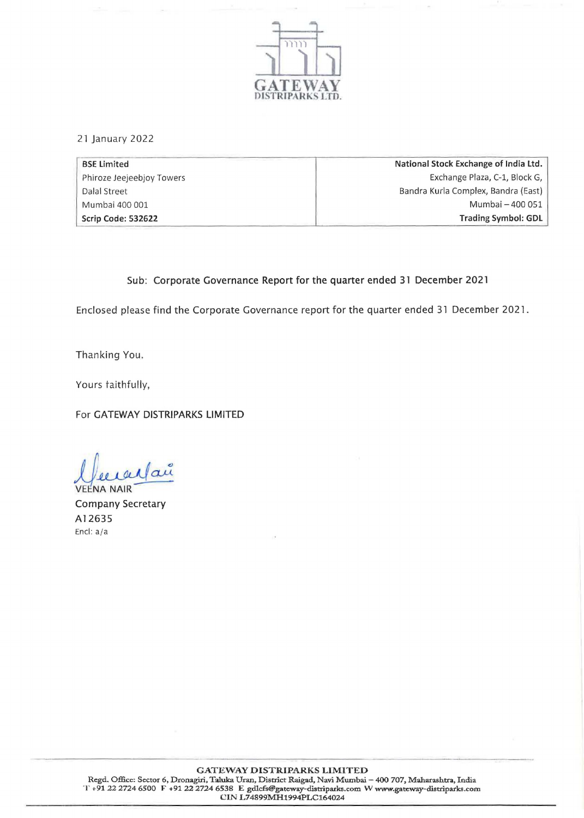

21 January 2022

| <b>BSE Limited</b>        | National Stock Exchange of India Ltd. |
|---------------------------|---------------------------------------|
| Phiroze Jeejeebjoy Towers | Exchange Plaza, C-1, Block G,         |
| Dalal Street              | Bandra Kurla Complex, Bandra (East)   |
| Mumbai 400 001            | Mumbai - 400 051                      |
| Scrip Code: 532622        | <b>Trading Symbol: GDL</b>            |

## Sub: Corporate Governance Report for the quarter ended 31 December 2021

Enclosed please find the Corporate Governance report for the quarter ended 31 December 2021.

Thanking You.

Yours taithfully,

For GATEWAY DISTRIPARKS LIMITED

 $\mu$ lau

**VEENA NAIR** Company Secretary A12635 Encl: a/a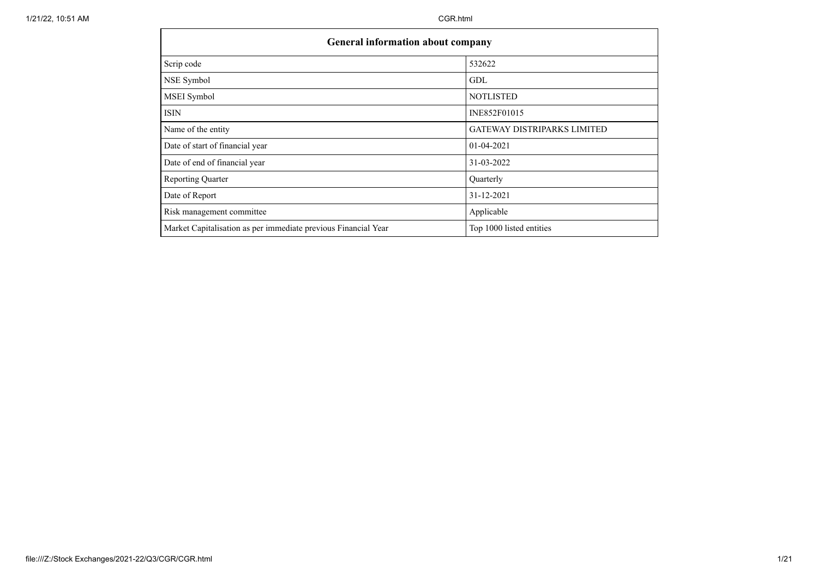| <b>General information about company</b>                       |                                    |  |  |  |  |  |  |  |
|----------------------------------------------------------------|------------------------------------|--|--|--|--|--|--|--|
| Scrip code                                                     | 532622                             |  |  |  |  |  |  |  |
| NSE Symbol                                                     | GDL                                |  |  |  |  |  |  |  |
| MSEI Symbol                                                    | <b>NOTLISTED</b>                   |  |  |  |  |  |  |  |
| ISIN                                                           | INE852F01015                       |  |  |  |  |  |  |  |
| Name of the entity                                             | <b>GATEWAY DISTRIPARKS LIMITED</b> |  |  |  |  |  |  |  |
| Date of start of financial year                                | 01-04-2021                         |  |  |  |  |  |  |  |
| Date of end of financial year                                  | 31-03-2022                         |  |  |  |  |  |  |  |
| Reporting Quarter                                              | Quarterly                          |  |  |  |  |  |  |  |
| Date of Report                                                 | 31-12-2021                         |  |  |  |  |  |  |  |
| Risk management committee                                      | Applicable                         |  |  |  |  |  |  |  |
| Market Capitalisation as per immediate previous Financial Year | Top 1000 listed entities           |  |  |  |  |  |  |  |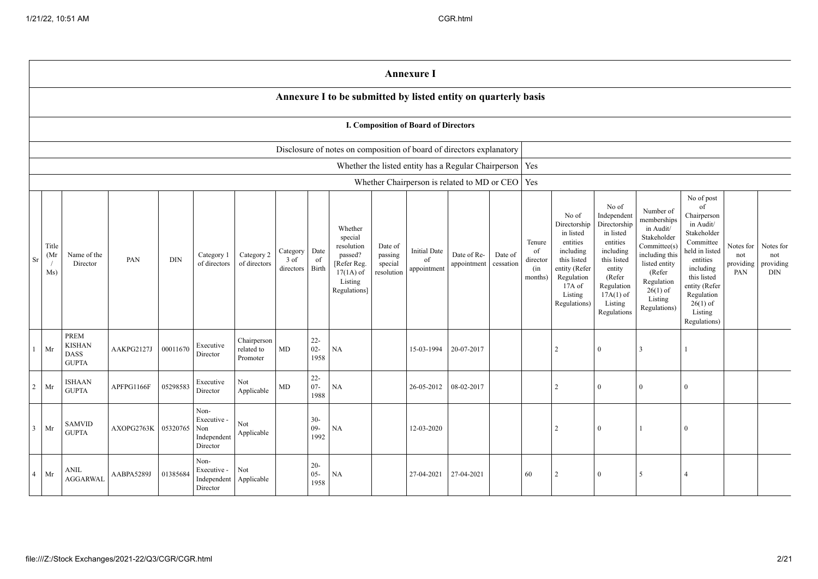|                |                      |                                                      |            |          |                                                       |                                       |                                                |                          |                                                                                                      |                                             | <b>Annexure I</b>                           |                                                           |                      |                                            |                                                                                                                                                |                                                                                                                                                                      |                                                                                                                                                                          |                                                                                                                                                                                                            |                                      |                                      |
|----------------|----------------------|------------------------------------------------------|------------|----------|-------------------------------------------------------|---------------------------------------|------------------------------------------------|--------------------------|------------------------------------------------------------------------------------------------------|---------------------------------------------|---------------------------------------------|-----------------------------------------------------------|----------------------|--------------------------------------------|------------------------------------------------------------------------------------------------------------------------------------------------|----------------------------------------------------------------------------------------------------------------------------------------------------------------------|--------------------------------------------------------------------------------------------------------------------------------------------------------------------------|------------------------------------------------------------------------------------------------------------------------------------------------------------------------------------------------------------|--------------------------------------|--------------------------------------|
|                |                      |                                                      |            |          |                                                       |                                       |                                                |                          | Annexure I to be submitted by listed entity on quarterly basis                                       |                                             |                                             |                                                           |                      |                                            |                                                                                                                                                |                                                                                                                                                                      |                                                                                                                                                                          |                                                                                                                                                                                                            |                                      |                                      |
|                |                      |                                                      |            |          |                                                       |                                       |                                                |                          |                                                                                                      |                                             | <b>I. Composition of Board of Directors</b> |                                                           |                      |                                            |                                                                                                                                                |                                                                                                                                                                      |                                                                                                                                                                          |                                                                                                                                                                                                            |                                      |                                      |
|                |                      |                                                      |            |          |                                                       |                                       |                                                |                          | Disclosure of notes on composition of board of directors explanatory                                 |                                             |                                             |                                                           |                      |                                            |                                                                                                                                                |                                                                                                                                                                      |                                                                                                                                                                          |                                                                                                                                                                                                            |                                      |                                      |
|                |                      |                                                      |            |          |                                                       |                                       |                                                |                          |                                                                                                      |                                             |                                             | Whether the listed entity has a Regular Chairperson   Yes |                      |                                            |                                                                                                                                                |                                                                                                                                                                      |                                                                                                                                                                          |                                                                                                                                                                                                            |                                      |                                      |
|                |                      |                                                      |            |          |                                                       |                                       |                                                |                          |                                                                                                      |                                             |                                             | Whether Chairperson is related to MD or CEO   Yes         |                      |                                            |                                                                                                                                                |                                                                                                                                                                      |                                                                                                                                                                          |                                                                                                                                                                                                            |                                      |                                      |
| Sr             | Title<br>(Mr)<br>Ms) | Name of the<br>Director                              | PAN        | DIN      | Category 1<br>of directors                            | Category 2<br>of directors            | $\operatorname{Category}$<br>3 of<br>directors | Date<br>of<br>Birth      | Whether<br>special<br>resolution<br>passed?<br>[Refer Reg.<br>$17(1A)$ of<br>Listing<br>Regulations] | Date of<br>passing<br>special<br>resolution | <b>Initial Date</b><br>of<br>appointment    | Date of Re-<br>appointment                                | Date of<br>cessation | Tenure<br>of<br>director<br>(in<br>months) | No of<br>Directorship<br>in listed<br>entities<br>including<br>this listed<br>entity (Refer<br>Regulation<br>17A of<br>Listing<br>Regulations) | No of<br>Independent<br>Directorship<br>in listed<br>entities<br>including<br>this listed<br>entity<br>(Refer<br>Regulation<br>$17A(1)$ of<br>Listing<br>Regulations | Number of<br>memberships<br>in Audit/<br>Stakeholder<br>Committee(s)<br>including this<br>listed entity<br>(Refer<br>Regulation<br>$26(1)$ of<br>Listing<br>Regulations) | No of post<br>of<br>Chairperson<br>in Audit/<br>Stakeholder<br>Committee<br>held in listed<br>entities<br>including<br>this listed<br>entity (Refer<br>Regulation<br>$26(1)$ of<br>Listing<br>Regulations) | Notes for<br>not<br>providing<br>PAN | Notes for<br>not<br>providing<br>DIN |
|                | Mr                   | PREM<br><b>KISHAN</b><br><b>DASS</b><br><b>GUPTA</b> | AAKPG2127J | 00011670 | Executive<br>Director                                 | Chairperson<br>related to<br>Promoter | MD                                             | $22 -$<br>$02 -$<br>1958 | <b>NA</b>                                                                                            |                                             | 15-03-1994                                  | 20-07-2017                                                |                      |                                            | $\overline{2}$                                                                                                                                 | $\Omega$                                                                                                                                                             | 3                                                                                                                                                                        |                                                                                                                                                                                                            |                                      |                                      |
| $\overline{2}$ | Mr                   | <b>ISHAAN</b><br><b>GUPTA</b>                        | APFPG1166F | 05298583 | Executive<br>Director                                 | Not<br>Applicable                     | MD                                             | $22 -$<br>$07 -$<br>1988 | NA                                                                                                   |                                             | 26-05-2012                                  | 08-02-2017                                                |                      |                                            | $\overline{2}$                                                                                                                                 | $\overline{0}$                                                                                                                                                       | $\Omega$                                                                                                                                                                 | $\Omega$                                                                                                                                                                                                   |                                      |                                      |
| $\overline{3}$ | $\rm{Mr}$            | <b>SAMVID</b><br><b>GUPTA</b>                        | AXOPG2763K | 05320765 | Non-<br>Executive -<br>Non<br>Independent<br>Director | Not<br>Applicable                     |                                                | $30 -$<br>$09 -$<br>1992 | NA                                                                                                   |                                             | 12-03-2020                                  |                                                           |                      |                                            | $\overline{c}$                                                                                                                                 | $\theta$                                                                                                                                                             |                                                                                                                                                                          | $\Omega$                                                                                                                                                                                                   |                                      |                                      |
| $\overline{4}$ | Mr                   | ANIL<br><b>AGGARWAL</b>                              | AABPA5289J | 01385684 | Non-<br>Executive -<br>Independent<br>Director        | Not<br>Applicable                     |                                                | $20 -$<br>$05 -$<br>1958 | <b>NA</b>                                                                                            |                                             | 27-04-2021                                  | 27-04-2021                                                |                      | 60                                         | $\overline{2}$                                                                                                                                 | $\Omega$                                                                                                                                                             | 5                                                                                                                                                                        |                                                                                                                                                                                                            |                                      |                                      |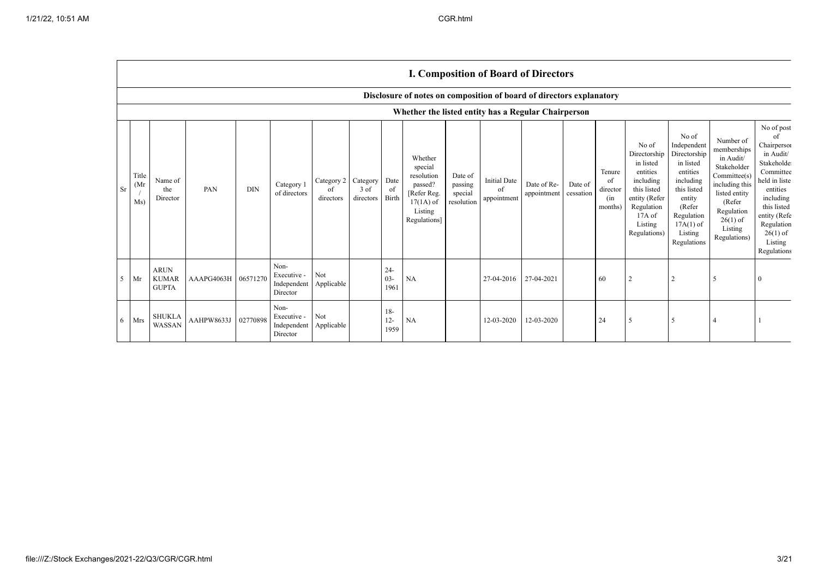Г

|           |                                                     |                                                                      |            |            |                                                |                               |                               |                          |                                                                                                      |                                             |                                          | <b>I. Composition of Board of Directors</b> |                      |                                            |                                                                                                                                                |                                                                                                                                                                      |                                                                                                                                                                          |                                                                                                                                                                                                        |
|-----------|-----------------------------------------------------|----------------------------------------------------------------------|------------|------------|------------------------------------------------|-------------------------------|-------------------------------|--------------------------|------------------------------------------------------------------------------------------------------|---------------------------------------------|------------------------------------------|---------------------------------------------|----------------------|--------------------------------------------|------------------------------------------------------------------------------------------------------------------------------------------------|----------------------------------------------------------------------------------------------------------------------------------------------------------------------|--------------------------------------------------------------------------------------------------------------------------------------------------------------------------|--------------------------------------------------------------------------------------------------------------------------------------------------------------------------------------------------------|
|           |                                                     | Disclosure of notes on composition of board of directors explanatory |            |            |                                                |                               |                               |                          |                                                                                                      |                                             |                                          |                                             |                      |                                            |                                                                                                                                                |                                                                                                                                                                      |                                                                                                                                                                          |                                                                                                                                                                                                        |
|           | Whether the listed entity has a Regular Chairperson |                                                                      |            |            |                                                |                               |                               |                          |                                                                                                      |                                             |                                          |                                             |                      |                                            |                                                                                                                                                |                                                                                                                                                                      |                                                                                                                                                                          |                                                                                                                                                                                                        |
| <b>Sr</b> | Title<br>(Mr)<br>Ms)                                | Name of<br>the<br>Director                                           | PAN        | <b>DIN</b> | Category 1<br>of directors                     | Category 2<br>of<br>directors | Category<br>3 of<br>directors | Date<br>- of<br>Birth    | Whether<br>special<br>resolution<br>passed?<br>[Refer Reg.<br>$17(1A)$ of<br>Listing<br>Regulations] | Date of<br>passing<br>special<br>resolution | <b>Initial Date</b><br>of<br>appointment | Date of Re-<br>appointment                  | Date of<br>cessation | Tenure<br>of<br>director<br>(in<br>months) | No of<br>Directorship<br>in listed<br>entities<br>including<br>this listed<br>entity (Refer<br>Regulation<br>17A of<br>Listing<br>Regulations) | No of<br>Independent<br>Directorship<br>in listed<br>entities<br>including<br>this listed<br>entity<br>(Refer<br>Regulation<br>$17A(1)$ of<br>Listing<br>Regulations | Number of<br>memberships<br>in Audit/<br>Stakeholder<br>Committee(s)<br>including this<br>listed entity<br>(Refer<br>Regulation<br>$26(1)$ of<br>Listing<br>Regulations) | No of post<br>of<br>Chairperson<br>in Audit/<br>Stakeholde<br>Committee<br>held in liste<br>entities<br>including<br>this listed<br>entity (Refe<br>Regulation<br>$26(1)$ of<br>Listing<br>Regulations |
| 5         | Mr                                                  | <b>ARUN</b><br><b>KUMAR</b><br><b>GUPTA</b>                          | AAAPG4063H | 06571270   | Non-<br>Executive -<br>Independent<br>Director | Not<br>Applicable             |                               | $24 -$<br>$03 -$<br>1961 | NA                                                                                                   |                                             | 27-04-2016                               | 27-04-2021                                  |                      | 60                                         |                                                                                                                                                | 2                                                                                                                                                                    | 5                                                                                                                                                                        |                                                                                                                                                                                                        |
| 6         | Mrs                                                 | <b>SHUKLA</b><br>WASSAN                                              | AAHPW8633J | 02770898   | Non-<br>Executive -<br>Independent<br>Director | Not<br>Applicable             |                               | $18-$<br>$12 -$<br>1959  | NA                                                                                                   |                                             | 12-03-2020                               | 12-03-2020                                  |                      | 24                                         | $\sim$                                                                                                                                         | -5                                                                                                                                                                   | $\overline{4}$                                                                                                                                                           |                                                                                                                                                                                                        |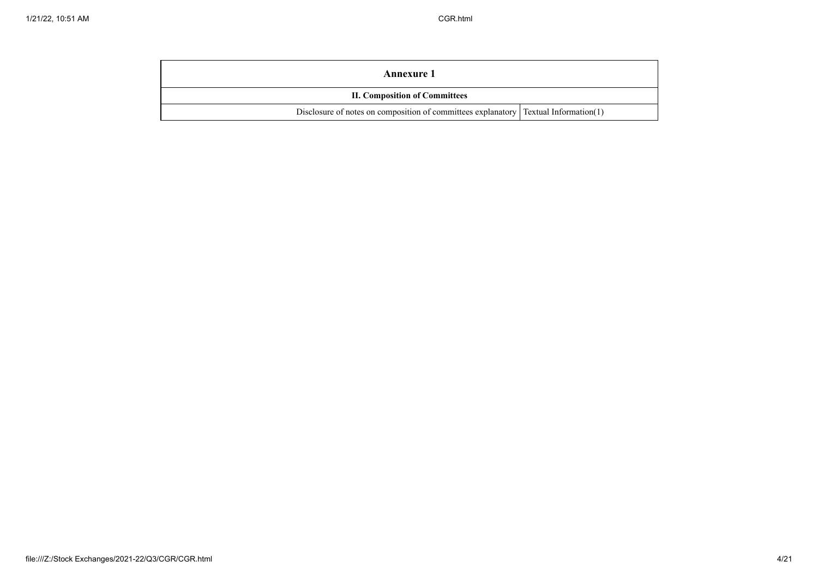| Annexure 1                                                                            |  |  |  |  |  |  |
|---------------------------------------------------------------------------------------|--|--|--|--|--|--|
| <b>II. Composition of Committees</b>                                                  |  |  |  |  |  |  |
| Disclosure of notes on composition of committees explanatory   Textual Information(1) |  |  |  |  |  |  |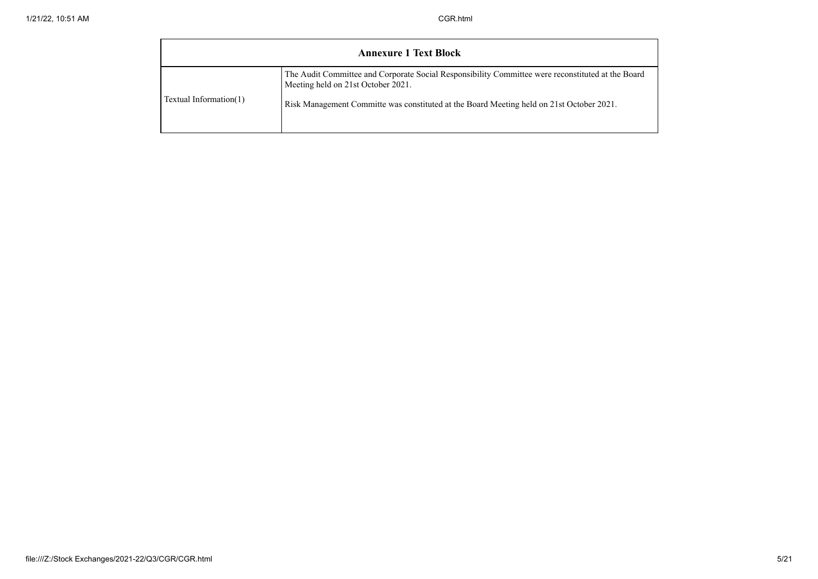|                        | <b>Annexure 1 Text Block</b>                                                                                                            |
|------------------------|-----------------------------------------------------------------------------------------------------------------------------------------|
|                        | The Audit Committee and Corporate Social Responsibility Committee were reconstituted at the Board<br>Meeting held on 21st October 2021. |
| Textual Information(1) | Risk Management Committe was constituted at the Board Meeting held on 21st October 2021.                                                |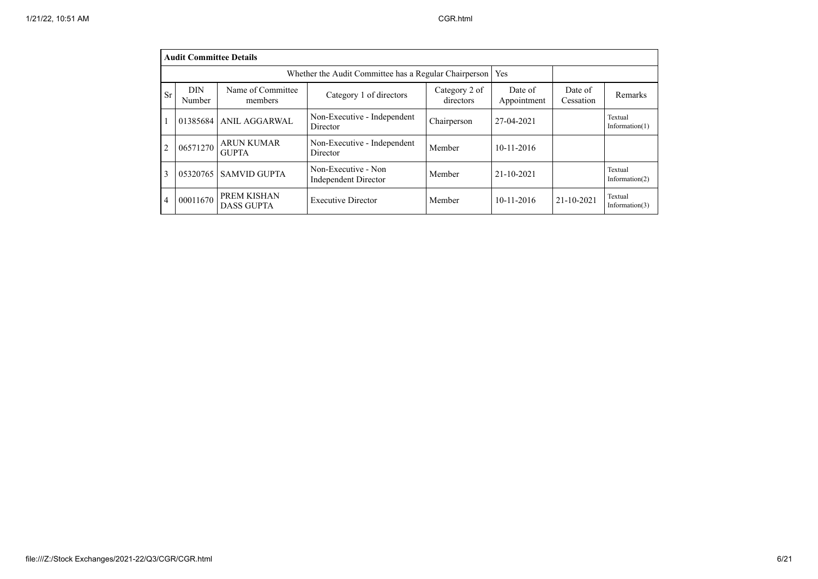|                | <b>Audit Committee Details</b>                              |                                   |                                             |                            |                        |                      |                              |  |  |  |  |
|----------------|-------------------------------------------------------------|-----------------------------------|---------------------------------------------|----------------------------|------------------------|----------------------|------------------------------|--|--|--|--|
|                | Whether the Audit Committee has a Regular Chairperson   Yes |                                   |                                             |                            |                        |                      |                              |  |  |  |  |
| Sr             | <b>DIN</b><br>Number                                        | Name of Committee<br>members      | Category 1 of directors                     | Category 2 of<br>directors | Date of<br>Appointment | Date of<br>Cessation | Remarks                      |  |  |  |  |
|                |                                                             | 01385684 ANIL AGGARWAL            | Non-Executive - Independent<br>Director     | Chairperson                | 27-04-2021             |                      | Textual<br>Information $(1)$ |  |  |  |  |
| $\overline{2}$ | 06571270                                                    | <b>ARUN KUMAR</b><br><b>GUPTA</b> | Non-Executive - Independent<br>Director     | Member                     | $10 - 11 - 2016$       |                      |                              |  |  |  |  |
| 3              | 05320765                                                    | <b>SAMVID GUPTA</b>               | Non-Executive - Non<br>Independent Director | Member                     | 21-10-2021             |                      | Textual<br>Information $(2)$ |  |  |  |  |
| $\overline{4}$ | 00011670                                                    | PREM KISHAN<br><b>DASS GUPTA</b>  | <b>Executive Director</b>                   | Member                     | $10 - 11 - 2016$       | $21 - 10 - 2021$     | Textual<br>Information $(3)$ |  |  |  |  |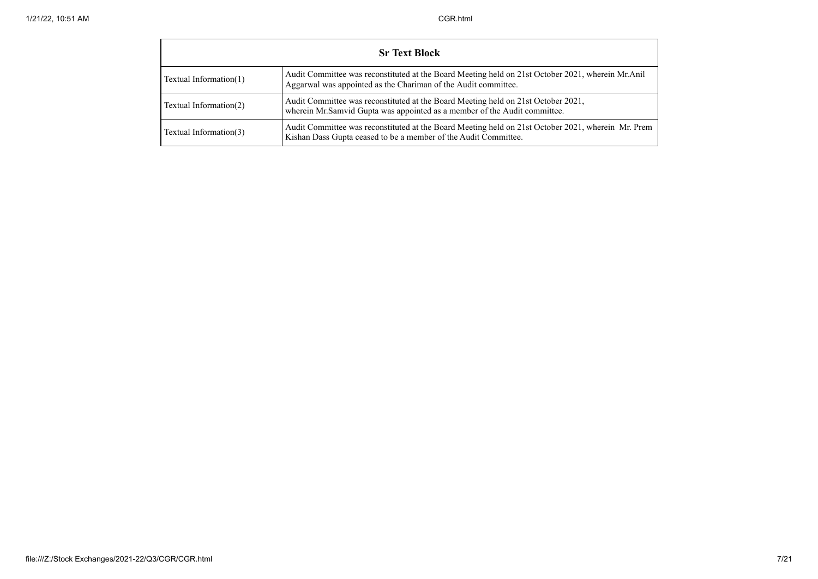| <b>Sr Text Block</b>   |                                                                                                                                                                       |  |  |  |  |  |  |  |  |
|------------------------|-----------------------------------------------------------------------------------------------------------------------------------------------------------------------|--|--|--|--|--|--|--|--|
| Textual Information(1) | Audit Committee was reconstituted at the Board Meeting held on 21st October 2021, wherein Mr.Anil<br>Aggarwal was appointed as the Chariman of the Audit committee.   |  |  |  |  |  |  |  |  |
| Textual Information(2) | Audit Committee was reconstituted at the Board Meeting held on 21st October 2021,<br>wherein Mr.Samvid Gupta was appointed as a member of the Audit committee.        |  |  |  |  |  |  |  |  |
| Textual Information(3) | Audit Committee was reconstituted at the Board Meeting held on 21st October 2021, wherein Mr. Prem<br>Kishan Dass Gupta ceased to be a member of the Audit Committee. |  |  |  |  |  |  |  |  |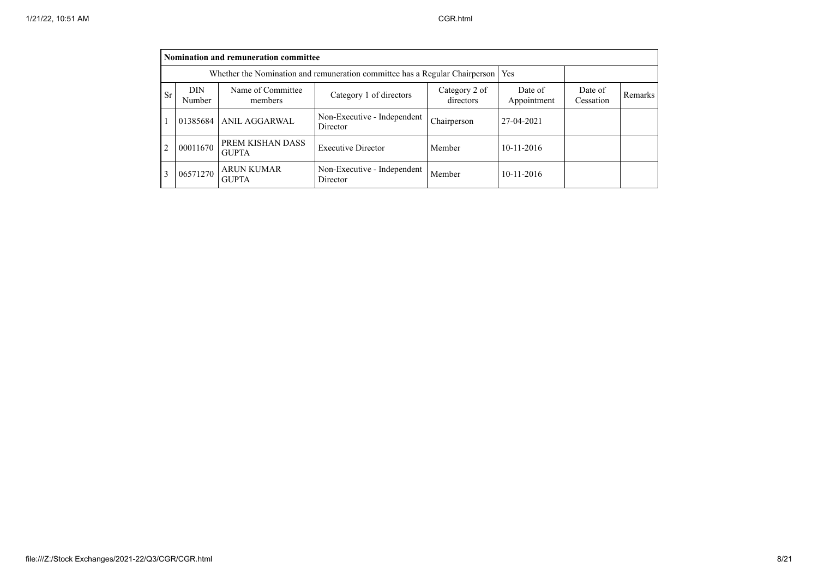|                | Nomination and remuneration committee                                              |                                   |                                         |                            |                        |                      |         |  |  |  |  |
|----------------|------------------------------------------------------------------------------------|-----------------------------------|-----------------------------------------|----------------------------|------------------------|----------------------|---------|--|--|--|--|
|                | Whether the Nomination and remuneration committee has a Regular Chairperson<br>Yes |                                   |                                         |                            |                        |                      |         |  |  |  |  |
| Sr             | DIN<br>Number                                                                      | Name of Committee<br>members      | Category 1 of directors                 | Category 2 of<br>directors | Date of<br>Appointment | Date of<br>Cessation | Remarks |  |  |  |  |
|                | 01385684                                                                           | ANIL AGGARWAL                     | Non-Executive - Independent<br>Director | Chairperson                | 27-04-2021             |                      |         |  |  |  |  |
| $\overline{2}$ | 00011670                                                                           | PREM KISHAN DASS<br><b>GUPTA</b>  | <b>Executive Director</b>               | Member                     | 10-11-2016             |                      |         |  |  |  |  |
| 3              | 06571270                                                                           | <b>ARUN KUMAR</b><br><b>GUPTA</b> | Non-Executive - Independent<br>Director | Member                     | 10-11-2016             |                      |         |  |  |  |  |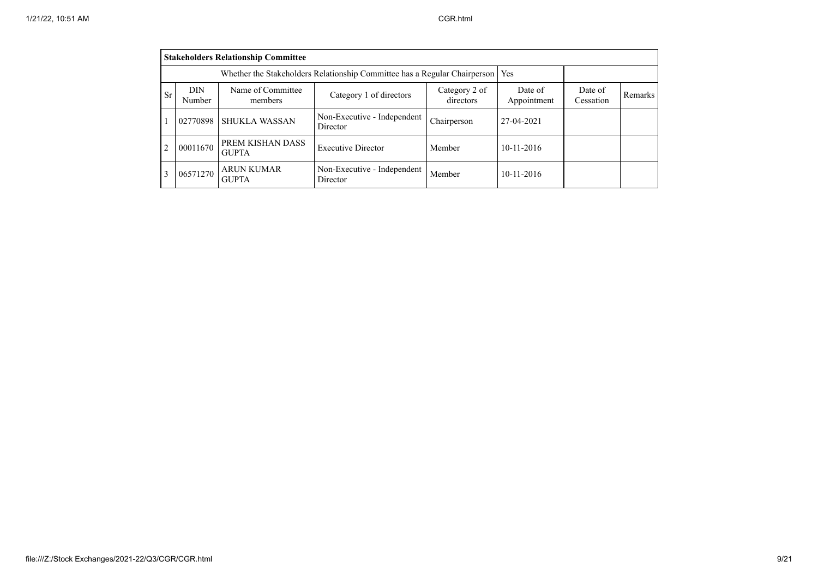|    | <b>Stakeholders Relationship Committee</b> |                                   |                                         |                            |                        |                      |         |  |  |  |  |
|----|--------------------------------------------|-----------------------------------|-----------------------------------------|----------------------------|------------------------|----------------------|---------|--|--|--|--|
|    |                                            |                                   |                                         |                            |                        |                      |         |  |  |  |  |
| Sr | <b>DIN</b><br>Number                       | Name of Committee<br>members      | Category 1 of directors                 | Category 2 of<br>directors | Date of<br>Appointment | Date of<br>Cessation | Remarks |  |  |  |  |
|    | 02770898                                   | <b>SHUKLA WASSAN</b>              | Non-Executive - Independent<br>Director | Chairperson                | 27-04-2021             |                      |         |  |  |  |  |
| 2  | 00011670                                   | PREM KISHAN DASS<br><b>GUPTA</b>  | <b>Executive Director</b>               | Member                     | $10-11-2016$           |                      |         |  |  |  |  |
| 3  | 06571270                                   | <b>ARUN KUMAR</b><br><b>GUPTA</b> | Non-Executive - Independent<br>Director | Member                     | $10-11-2016$           |                      |         |  |  |  |  |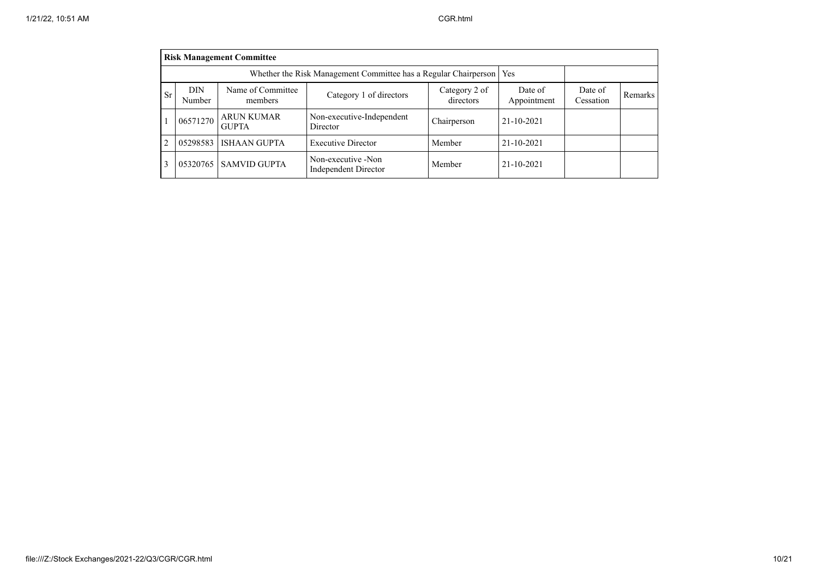|    |                      | <b>Risk Management Committee</b>                                      |                                            |                            |                        |                      |         |
|----|----------------------|-----------------------------------------------------------------------|--------------------------------------------|----------------------------|------------------------|----------------------|---------|
|    |                      | Whether the Risk Management Committee has a Regular Chairperson   Yes |                                            |                            |                        |                      |         |
| Sr | <b>DIN</b><br>Number | Name of Committee<br>members                                          | Category 1 of directors                    | Category 2 of<br>directors | Date of<br>Appointment | Date of<br>Cessation | Remarks |
|    | 06571270             | <b>ARUN KUMAR</b><br><b>GUPTA</b>                                     | Non-executive-Independent<br>Director      | Chairperson                | 21-10-2021             |                      |         |
|    | 05298583             | <b>ISHAAN GUPTA</b>                                                   | <b>Executive Director</b>                  | Member                     | 21-10-2021             |                      |         |
|    |                      | 05320765 SAMVID GUPTA                                                 | Non-executive -Non<br>Independent Director | Member                     | 21-10-2021             |                      |         |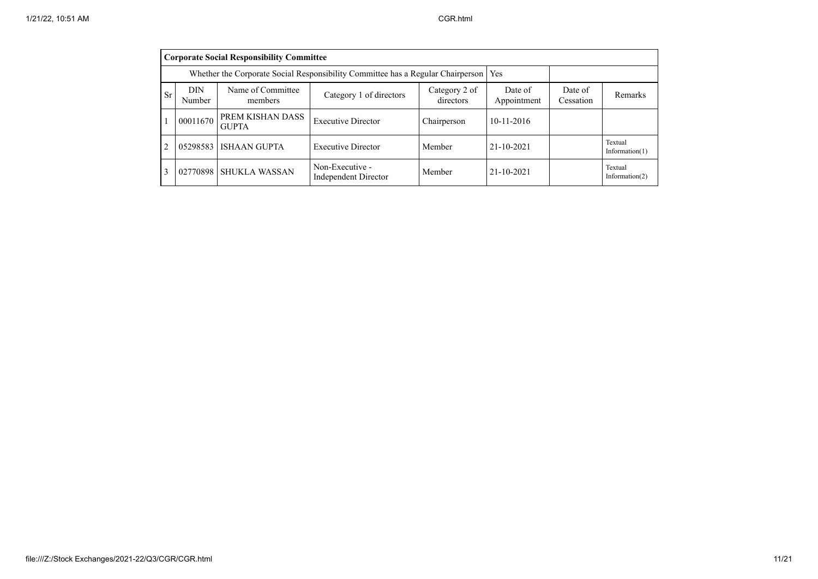|                | <b>Corporate Social Responsibility Committee</b> |                                                                                       |                                         |                            |                        |                      |                              |  |  |  |  |
|----------------|--------------------------------------------------|---------------------------------------------------------------------------------------|-----------------------------------------|----------------------------|------------------------|----------------------|------------------------------|--|--|--|--|
|                |                                                  | Whether the Corporate Social Responsibility Committee has a Regular Chairperson   Yes |                                         |                            |                        |                      |                              |  |  |  |  |
| <b>Sr</b>      | DIN<br>Number                                    | Name of Committee<br>members                                                          | Category 1 of directors                 | Category 2 of<br>directors | Date of<br>Appointment | Date of<br>Cessation | Remarks                      |  |  |  |  |
|                | 00011670                                         | PREM KISHAN DASS<br><b>GUPTA</b>                                                      | <b>Executive Director</b>               | Chairperson                | $10-11-2016$           |                      |                              |  |  |  |  |
| $\overline{2}$ | 05298583                                         | <b>ISHAAN GUPTA</b>                                                                   | <b>Executive Director</b>               | Member                     | 21-10-2021             |                      | Textual<br>Information $(1)$ |  |  |  |  |
| 3              | 02770898                                         | <b>SHUKLA WASSAN</b>                                                                  | Non-Executive -<br>Independent Director | Member                     | 21-10-2021             |                      | Textual<br>Information $(2)$ |  |  |  |  |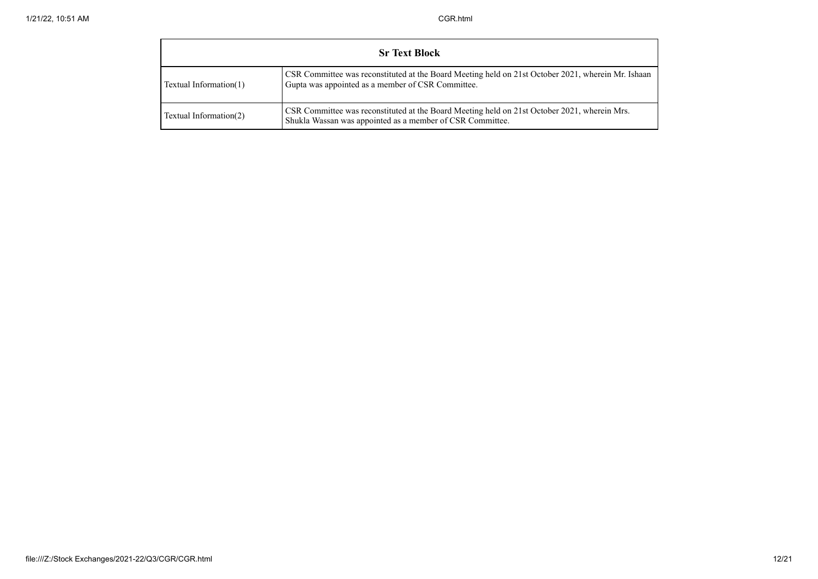| <b>Sr Text Block</b>   |                                                                                                                                                           |  |  |  |
|------------------------|-----------------------------------------------------------------------------------------------------------------------------------------------------------|--|--|--|
| Textual Information(1) | CSR Committee was reconstituted at the Board Meeting held on 21st October 2021, wherein Mr. Ishaan<br>Gupta was appointed as a member of CSR Committee.   |  |  |  |
| Textual Information(2) | CSR Committee was reconstituted at the Board Meeting held on 21st October 2021, wherein Mrs.<br>Shukla Wassan was appointed as a member of CSR Committee. |  |  |  |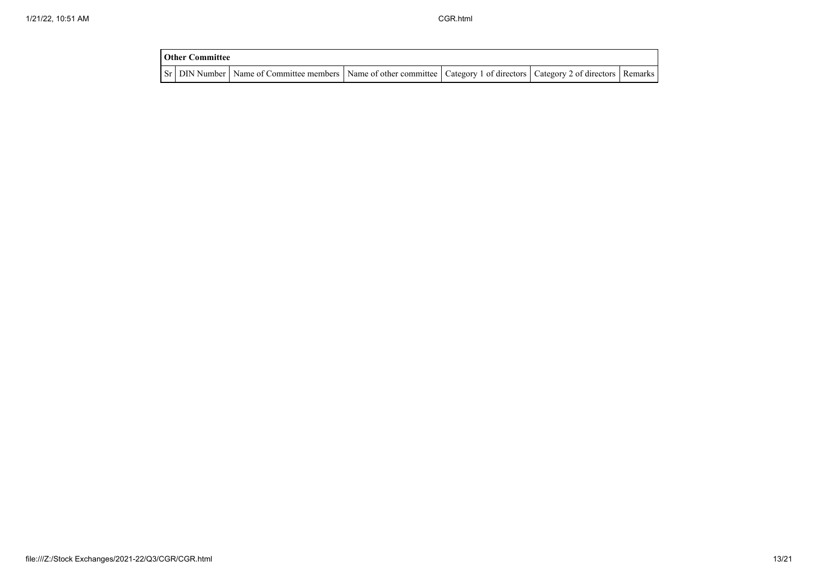| <b>Other Committee</b> |                                                                                                                                     |  |  |
|------------------------|-------------------------------------------------------------------------------------------------------------------------------------|--|--|
|                        | Sr   DIN Number   Name of Committee members   Name of other committee   Category 1 of directors   Category 2 of directors   Remarks |  |  |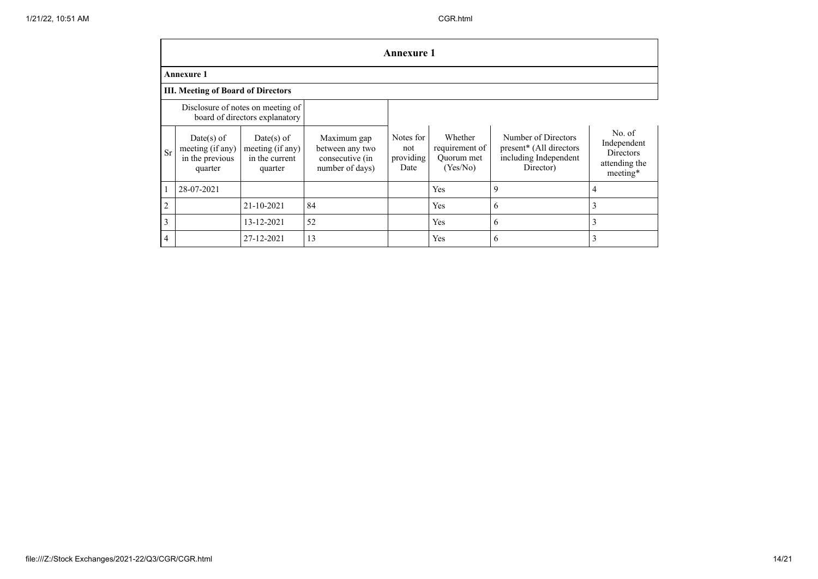|                | <b>Annexure 1</b>                                              |                                                                     |                                                                      |                                       |                                                     |                                                                                      |                                                                        |
|----------------|----------------------------------------------------------------|---------------------------------------------------------------------|----------------------------------------------------------------------|---------------------------------------|-----------------------------------------------------|--------------------------------------------------------------------------------------|------------------------------------------------------------------------|
|                | <b>Annexure 1</b>                                              |                                                                     |                                                                      |                                       |                                                     |                                                                                      |                                                                        |
|                | <b>III. Meeting of Board of Directors</b>                      |                                                                     |                                                                      |                                       |                                                     |                                                                                      |                                                                        |
|                |                                                                | Disclosure of notes on meeting of<br>board of directors explanatory |                                                                      |                                       |                                                     |                                                                                      |                                                                        |
| <b>Sr</b>      | $Date(s)$ of<br>meeting (if any)<br>in the previous<br>quarter | $Date(s)$ of<br>meeting (if any)<br>in the current<br>quarter       | Maximum gap<br>between any two<br>consecutive (in<br>number of days) | Notes for<br>not<br>providing<br>Date | Whether<br>requirement of<br>Quorum met<br>(Yes/No) | Number of Directors<br>present* (All directors<br>including Independent<br>Director) | No. of<br>Independent<br><b>Directors</b><br>attending the<br>meeting* |
|                | 28-07-2021                                                     |                                                                     |                                                                      |                                       | Yes                                                 | 9                                                                                    | $\overline{4}$                                                         |
| $\overline{2}$ |                                                                | $21 - 10 - 2021$                                                    | 84                                                                   |                                       | <b>Yes</b>                                          | 6                                                                                    | 3                                                                      |
| 3              |                                                                | 13-12-2021                                                          | 52                                                                   |                                       | Yes                                                 | 6                                                                                    | 3                                                                      |
| $\overline{4}$ |                                                                | 27-12-2021                                                          | 13                                                                   |                                       | Yes                                                 | 6                                                                                    | 3                                                                      |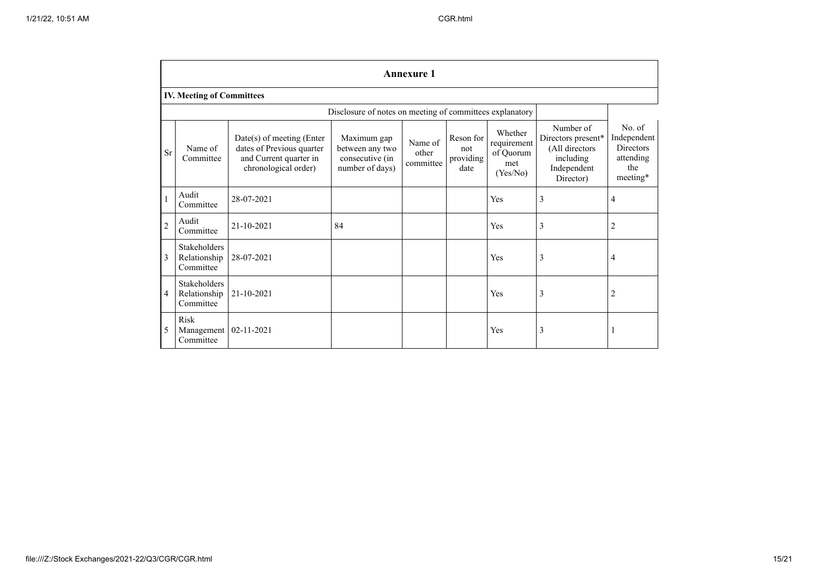|                | <b>Annexure 1</b>                         |                                                                                                            |                                                                      |                               |                                       |                                                        |                                                                                            |                                                                           |
|----------------|-------------------------------------------|------------------------------------------------------------------------------------------------------------|----------------------------------------------------------------------|-------------------------------|---------------------------------------|--------------------------------------------------------|--------------------------------------------------------------------------------------------|---------------------------------------------------------------------------|
|                | <b>IV. Meeting of Committees</b>          |                                                                                                            |                                                                      |                               |                                       |                                                        |                                                                                            |                                                                           |
|                |                                           |                                                                                                            | Disclosure of notes on meeting of committees explanatory             |                               |                                       |                                                        |                                                                                            |                                                                           |
| <b>Sr</b>      | Name of<br>Committee                      | $Date(s)$ of meeting (Enter<br>dates of Previous quarter<br>and Current quarter in<br>chronological order) | Maximum gap<br>between any two<br>consecutive (in<br>number of days) | Name of<br>other<br>committee | Reson for<br>not<br>providing<br>date | Whether<br>requirement<br>of Quorum<br>met<br>(Yes/No) | Number of<br>Directors present*<br>(All directors<br>including<br>Independent<br>Director) | No. of<br>Independent<br><b>Directors</b><br>attending<br>the<br>meeting* |
|                | Audit<br>Committee                        | 28-07-2021                                                                                                 |                                                                      |                               |                                       | Yes                                                    | 3                                                                                          | $\overline{4}$                                                            |
| $\overline{2}$ | Audit<br>Committee                        | 21-10-2021                                                                                                 | 84                                                                   |                               |                                       | Yes                                                    | 3                                                                                          | $\overline{2}$                                                            |
| 3              | Stakeholders<br>Relationship<br>Committee | 28-07-2021                                                                                                 |                                                                      |                               |                                       | Yes                                                    | 3                                                                                          | 4                                                                         |
| 4              | Stakeholders<br>Relationship<br>Committee | 21-10-2021                                                                                                 |                                                                      |                               |                                       | Yes                                                    | 3                                                                                          | $\overline{2}$                                                            |
| 5              | <b>Risk</b><br>Management<br>Committee    | 02-11-2021                                                                                                 |                                                                      |                               |                                       | Yes                                                    | 3                                                                                          | -1                                                                        |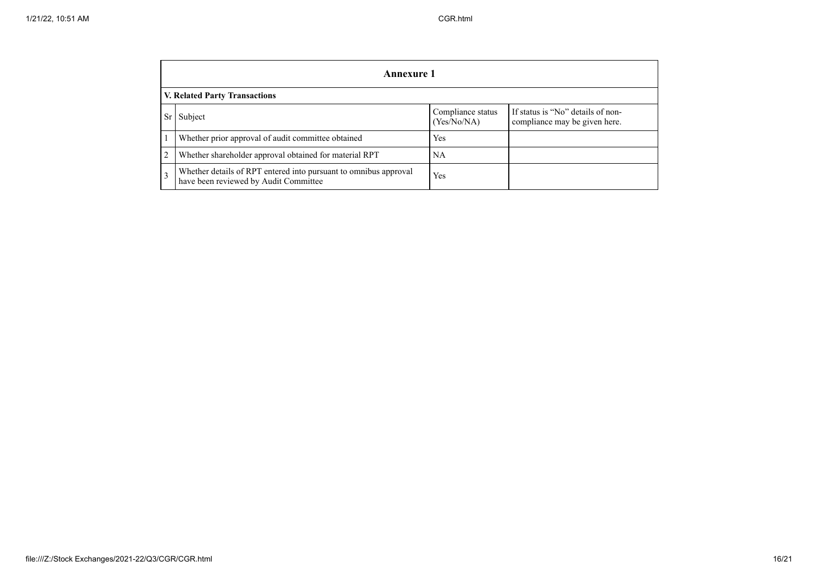|                | Annexure 1                                                                                                |                                  |                                                                    |  |  |  |
|----------------|-----------------------------------------------------------------------------------------------------------|----------------------------------|--------------------------------------------------------------------|--|--|--|
|                | V. Related Party Transactions                                                                             |                                  |                                                                    |  |  |  |
| Sr             | Subject                                                                                                   | Compliance status<br>(Yes/No/NA) | If status is "No" details of non-<br>compliance may be given here. |  |  |  |
|                | Whether prior approval of audit committee obtained                                                        | Yes                              |                                                                    |  |  |  |
| $\overline{2}$ | Whether shareholder approval obtained for material RPT                                                    | NA                               |                                                                    |  |  |  |
| 3              | Whether details of RPT entered into pursuant to omnibus approval<br>have been reviewed by Audit Committee | Yes                              |                                                                    |  |  |  |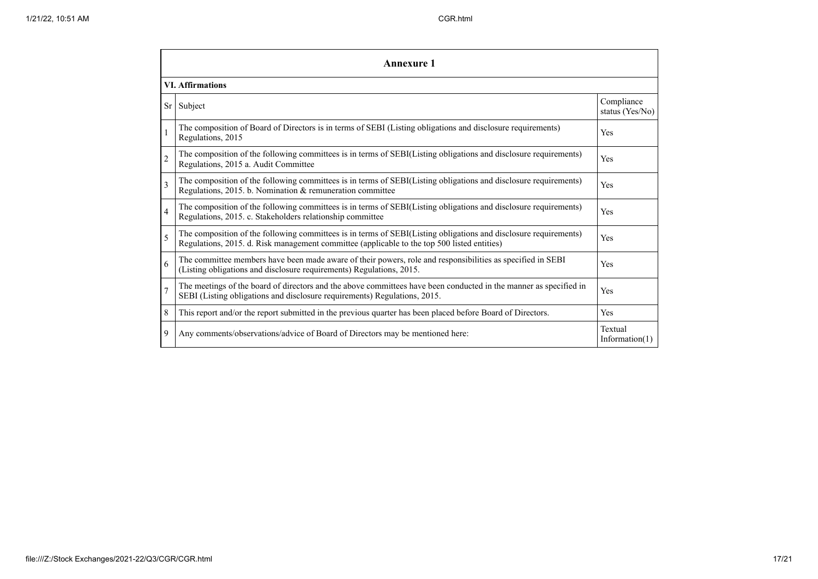|                         | Annexure 1                                                                                                                                                                                                      |                               |  |  |  |
|-------------------------|-----------------------------------------------------------------------------------------------------------------------------------------------------------------------------------------------------------------|-------------------------------|--|--|--|
|                         | <b>VI. Affirmations</b>                                                                                                                                                                                         |                               |  |  |  |
| <b>Sr</b>               | Subject                                                                                                                                                                                                         | Compliance<br>status (Yes/No) |  |  |  |
|                         | The composition of Board of Directors is in terms of SEBI (Listing obligations and disclosure requirements)<br>Regulations, 2015                                                                                | Yes                           |  |  |  |
| $\overline{c}$          | The composition of the following committees is in terms of SEBI(Listing obligations and disclosure requirements)<br>Regulations, 2015 a. Audit Committee                                                        | Yes                           |  |  |  |
| $\overline{\mathbf{3}}$ | The composition of the following committees is in terms of SEBI(Listing obligations and disclosure requirements)<br>Regulations, 2015. b. Nomination & remuneration committee                                   | Yes                           |  |  |  |
| 4                       | The composition of the following committees is in terms of SEBI(Listing obligations and disclosure requirements)<br>Regulations, 2015. c. Stakeholders relationship committee                                   | Yes                           |  |  |  |
| 5                       | The composition of the following committees is in terms of SEBI(Listing obligations and disclosure requirements)<br>Regulations, 2015. d. Risk management committee (applicable to the top 500 listed entities) | Yes                           |  |  |  |
| 6                       | The committee members have been made aware of their powers, role and responsibilities as specified in SEBI<br>(Listing obligations and disclosure requirements) Regulations, 2015.                              | Yes                           |  |  |  |
| $\overline{7}$          | The meetings of the board of directors and the above committees have been conducted in the manner as specified in<br>SEBI (Listing obligations and disclosure requirements) Regulations, 2015.                  | Yes                           |  |  |  |
| 8                       | This report and/or the report submitted in the previous quarter has been placed before Board of Directors.                                                                                                      | Yes                           |  |  |  |
| 9                       | Any comments/observations/advice of Board of Directors may be mentioned here:                                                                                                                                   | Textual<br>Information $(1)$  |  |  |  |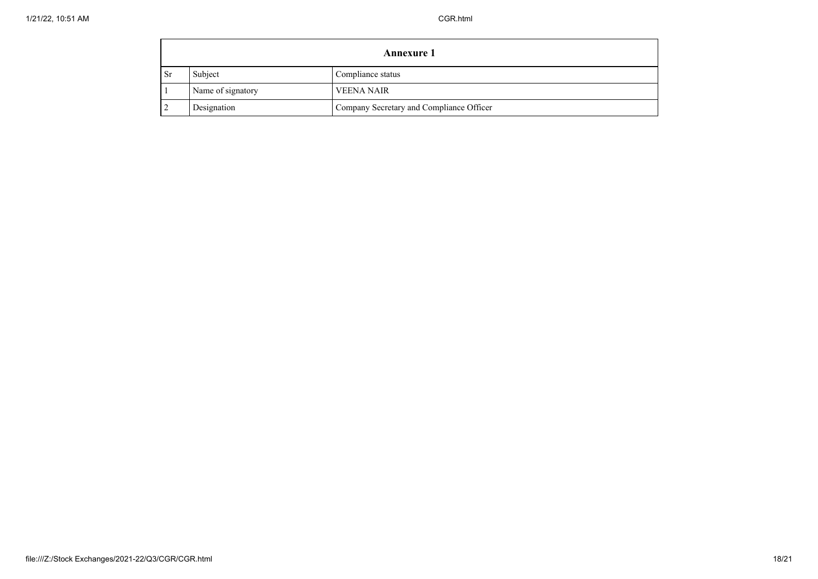|           | <b>Annexure 1</b> |                                          |  |  |
|-----------|-------------------|------------------------------------------|--|--|
| <b>Sr</b> | Subject           | Compliance status                        |  |  |
|           | Name of signatory | <b>VEENA NAIR</b>                        |  |  |
|           | Designation       | Company Secretary and Compliance Officer |  |  |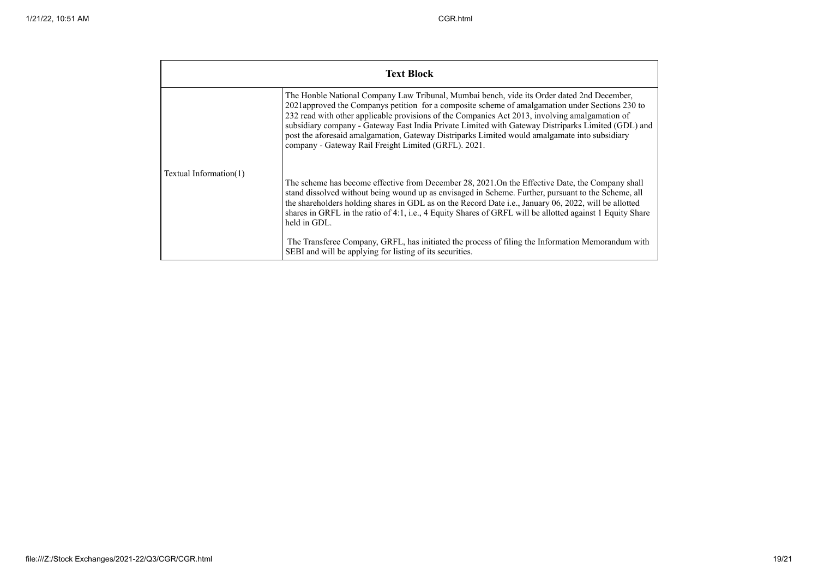| <b>Text Block</b>                                                                                                                                                                                                                                                                                                                                                                                                                                                                                                                                              |                                                                                                                                                                                                                                                                                                                                                                                                                                              |  |  |  |
|----------------------------------------------------------------------------------------------------------------------------------------------------------------------------------------------------------------------------------------------------------------------------------------------------------------------------------------------------------------------------------------------------------------------------------------------------------------------------------------------------------------------------------------------------------------|----------------------------------------------------------------------------------------------------------------------------------------------------------------------------------------------------------------------------------------------------------------------------------------------------------------------------------------------------------------------------------------------------------------------------------------------|--|--|--|
| The Honble National Company Law Tribunal, Mumbai bench, vide its Order dated 2nd December,<br>2021approved the Companys petition for a composite scheme of amalgamation under Sections 230 to<br>232 read with other applicable provisions of the Companies Act 2013, involving amalgamation of<br>subsidiary company - Gateway East India Private Limited with Gateway Distriparks Limited (GDL) and<br>post the aforesaid amalgamation, Gateway Distriparks Limited would amalgamate into subsidiary<br>company - Gateway Rail Freight Limited (GRFL). 2021. |                                                                                                                                                                                                                                                                                                                                                                                                                                              |  |  |  |
| Textual Information(1)                                                                                                                                                                                                                                                                                                                                                                                                                                                                                                                                         | The scheme has become effective from December 28, 2021.On the Effective Date, the Company shall<br>stand dissolved without being wound up as envisaged in Scheme. Further, pursuant to the Scheme, all<br>the shareholders holding shares in GDL as on the Record Date i.e., January 06, 2022, will be allotted<br>shares in GRFL in the ratio of 4:1, i.e., 4 Equity Shares of GRFL will be allotted against 1 Equity Share<br>held in GDL. |  |  |  |
|                                                                                                                                                                                                                                                                                                                                                                                                                                                                                                                                                                | The Transferee Company, GRFL, has initiated the process of filing the Information Memorandum with<br>SEBI and will be applying for listing of its securities.                                                                                                                                                                                                                                                                                |  |  |  |